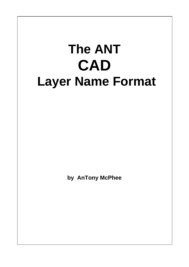# **The ANT CAD Layer Name Format**

**by AnTony McPhee**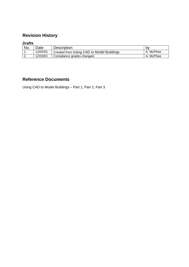# **Revision History**

# *Drafts*

| No. | <b>Date</b> | <b>Description</b>                        | b٧        |
|-----|-------------|-------------------------------------------|-----------|
|     | 12/02/01    | Created from Using CAD to Model Buildings | A. McPhee |
|     | 12/03/01    | Compliance grades changed.                | A. McPhee |

# **Reference Documents**

Using CAD to Model Buildings – Part 1, Part 2, Part 3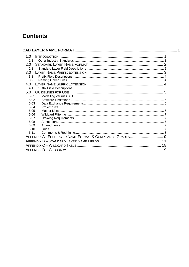# **Contents**

| 1.0                                                     |    |
|---------------------------------------------------------|----|
| 1.1                                                     |    |
| 2.0                                                     |    |
| 2.1                                                     |    |
| 3.0                                                     |    |
| 3.1                                                     |    |
| 3.2                                                     |    |
| 4.0                                                     |    |
| 4.1                                                     |    |
| 5.0                                                     |    |
| 5.01                                                    |    |
| 5.02                                                    |    |
| 5.03                                                    |    |
| 5.04                                                    |    |
| 5.05                                                    |    |
| 5.06                                                    |    |
| 5.07                                                    |    |
| 5.08                                                    |    |
| 5.09<br>5.10                                            |    |
| 5.11                                                    |    |
| APPENDIX A-FULL LAYER NAME FORMAT & COMPLIANCE GRADES 9 |    |
|                                                         |    |
|                                                         |    |
|                                                         |    |
|                                                         | 19 |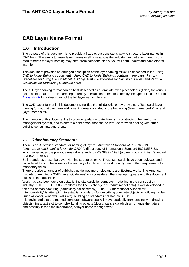# <span id="page-3-0"></span>**CAD Layer Name Format**

# **1.0 Introduction**

The purpose of this document is to provide a flexible, but consistent, way to structure layer names in CAD files. The aim is to make layer names intelligible across the industry, so that even though your requirements for layer naming may differ from someone else's, you will both understand each other's intention.

This document provides an abridged description of the layer naming structure described in the *Using CAD to Model Buildings* document. *Using CAD to Model Buildings* contains three parts, Part 1 - *Guidelines for Using CAD to Model Buildings*, Part 2 –*Guidelines for Naming of Layers* and Part 3 – *Guidelines for Structuring Computer Files*.

The full layer naming format can be best described as a template, with placeholders (fields) for various types of information. Fields are separated by special characters that identify the type of field. Refer to **[Appendix A](#page-11-0)** for a description of the full layer naming format.

The CAD Layer format in this document simplifies the full description by providing a 'Standard' layer naming format that can have additional information added to the beginning (layer name prefix), or end (layer name suffix).

The intention of this document is to provide guidance to Architects in constructing their in-house management system, and to create a benchmark that can be referred to when dealing with other building consultants and clients.

## *1.1 Other Industry Standards*

There is an Australian standard for naming of layers - Australian Standard AS 13576 – 1999 "*Organization and naming layers for CAD*" (a direct copy of International Standard ISO13567-2.), which supersedes the previous Australian standard - AS 3883 - 1991 (a direct copy of British Standard BS1192 – Part 5.)

Both standards proscribe Layer Naming structures only. These standards have been reviewed and considered too cumbersome for the majority of architectural work, mainly due to their requirement for mandatory fields.

There are also a number of published guidelines more relevant to architectural work. The American Institute of Architects "CAD Layer Guidelines" was considered the most appropriate and this document builds on that guideline.

Work has also been done on establishing standards for computer modelling in the construction industry. STEP (ISO 10303 Standards for The Exchange of Product model data) is well developed in the area of manufacturing (particularly car assembly). The IAI (International Alliance for

Interoperability) is attempting to establish standards for describing complete objects in building models (such as doors, windows, walls etc), building on standards created by STEP.

It is envisaged that the method computer software use will move gradually from dealing with drawing objects (lines, text etc) to complex building objects (doors, walls etc.) which will change the nature, and possibly lessen the importance, of layer name management.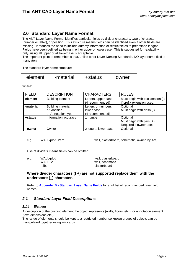# <span id="page-4-0"></span>**2.0 Standard Layer Name Format**

The ANT Layer Name Format identifies particular fields by divider characters, type of character (number or letter), or position. This structure means fields can be identified even if other fields are missing. It reduces the need to include dummy information or restrict fields to predefined lengths. Fields have been defined as being in either upper or lower case. This is suggested for readability only, using all upper or all lowercase is acceptable.

The important point to remember is that, unlike other Layer Naming Standards, NO layer name field is mandatory.

The standard layer name structure:

| -material<br>+status<br>element<br>owner |
|------------------------------------------|
|------------------------------------------|

where:

| <b>FIELD</b> | <b>DESCRIPTION</b>                                     | <b>CHARACTERS</b>                                    | <b>RULES</b>                                                      |
|--------------|--------------------------------------------------------|------------------------------------------------------|-------------------------------------------------------------------|
| element      | <b>Building element</b>                                | Letters, upper-case<br>(4 recommended)               | Must begin with exclamation (!)<br>if prefix extension used.      |
| -material    | Building material<br>or Modifier<br>or Annotation type | Letters or numbers,<br>lower-case<br>(4 recommended) | Optional<br>Must begin with dash (-)                              |
| +status      | Information accuracy                                   | 1 number                                             | Optional<br>Must begin with plus $(+)$<br>Required if owner used. |
| owner        | Owner                                                  | 2 letters, lower-case                                | Optional                                                          |

e.g. WALL**-**plbd**+**2am wall, plasterboard, schematic, owned by AM,

Use of dividers means fields can be omitted:

| e.a. | WALL-plbd | wall, plasterboard |  |
|------|-----------|--------------------|--|
|      | WALL+2    | wall, schematic    |  |
|      | -plbd     | plasterboard       |  |

**Where divider characters (! +) are not supported replace them with the underscore (\_) character.** 

Refer to **[Appendix B - Standard Layer Name Fields](#page-13-0)** for a full list of recommended layer field names.

#### *2.1 Standard Layer Field Descriptions*

#### *2.1.1 Element*

A description of the building element the object represents (walls, floors, etc.), or annotation element (text, dimensions etc.)

The range of elements should be kept to a restricted number so known groups of objects can be manipulated together using wildcards.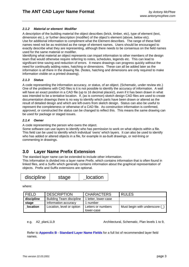#### <span id="page-5-0"></span>*2.1.2 Material or element Modifier*

A description of the building material the object describes (brick, timber, etc), type of element (text, dimension etc.), or further description (modifier) of the object's element (above, below etc). Use for additional information to compliment what the Element describes. The range of these field names need not be as restricted as the range of element names. Users should be encouraged to exactly describe what they are representing, although there needs to be consensus on the field names used for the same material or modifier.

Identifying what material an object represents can impart information to other members of the design team that would otherwise require referring to notes, schedules, legends etc. This can lead to significant time saving and reduction of errors. It means drawings can progress quickly without the need for continually adding notes, hatching or dimensions. These can all be added later as the information is all there in the drawing file. (Notes, hatching and dimensions are only required to make information visible on a printed drawing).

#### *2.1.3 Status*

A code representing the information accuracy, or status, of an object. (Schematic, under review etc.) One of the problems with CAD files is it is not possible to identify the accuracy of information. A wall will have an exact position in a CAD file (up to 16 decimal places!), even if it has been drawn in what was intended to be a tentative location. If, (as is common) sketch design CAD files are used to create documentation drawings there is no way to identify which parts have been drawn or altered as the result of detailed design and which are left-overs from sketch design. Status can also be useful to represent the completeness or otherwise of a CAD file. As construction information is confirmed, approved, or constructed the status can be changed to reflect this. This means the same drawing can be used for package or staged issues.

#### *2.1.4 Owner*

A code representing the person who owns the object.

Some software can use layers to identify who has permission to work on what objects within a file. This field can be used to identify which individual 'owns' which layers. It can also be used to identify who has added or altered objects in a file, for example in as-built drawings, or red-lining or commenting in drawings.

# **3.0 Layer Name Prefix Extension**

The standard layer name can be extended to include other information.

This Information is divided into a layer name *Prefix*, which contains information that is often found in linked files, and a *Suffix* which generally contains information about the graphical representation of objects. Prefix and Suffix extensions are optional.

| location<br>discipline<br>stage |  |
|---------------------------------|--|
|---------------------------------|--|

where:

| <b>FIELD</b>    | <b>DESCRIPTION</b>              | <b>CHARACTERS</b>    | <b>RULES</b>                   |
|-----------------|---------------------------------|----------------------|--------------------------------|
| discipline      | <b>Building Team discipline</b> | 1 letter, lower-case |                                |
| stage           | Information accuracy            | 1 number             |                                |
| <b>location</b> | Location, level or option       | Letters or numbers   | Must begin with underscore $($ |
|                 |                                 | lower-case           |                                |

e.g. A<sub>2</sub> planL1L9 **Architectural, Schematic, Plan levels 1 to 9,** Architectural, Schematic, Plan levels 1 to 9,

Refer to **[Appendix B - Standard Layer Name Fields](#page-13-0)** for a full list of recommended layer field names.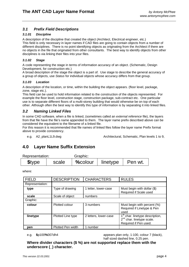### <span id="page-6-0"></span>*3.1 Prefix Field Descriptions*

#### *3.1.01 Discipline*

A description of the discipline that created the object (Architect, Electrical engineer, etc.) This field is only necessary in layer names if CAD files are going to contain objects from a number of different disciplines. There is no point identifying objects as originating from the Architect if there are no objects in the file that originated from other consultants. The best way to identify objects from other disciplines is via linking their files into your files.

#### *3.1.02 Stage*

A code representing the stage in terms of information accuracy of an object. (Schematic, Design Development, for construction etc.)

A broad description of the stage the object is a part of. Use stage to describe the general accuracy of a group of objects, use *Status* for individual objects whose accuracy differs from that group.

#### *3.1.03 Location*

A description of the location, or time, within the building the object appears. (floor level, package, zone, stage etc.).

This field can be used to hold information related to the construction of the objects represented. For example the floor level, construction stage, construction package, sub-contract etc. One particular use is to separate different floors of a multi-storey building that would otherwise be on top of each other. Although often the best way to identify this type of information is by separating it into linked files.

#### *3.2 Naming Linked Files*

In some CAD software, when a file is linked, (sometimes called an *external reference* file), the layers from that file have the file's name appended to them. The layer name prefix described above can be considered the equivalent to the filename of a linked file.

For this reason it is recommended that file names of linked files follow the layer name Prefix format above to provide consistency.

e.g. A2 planL1L9.dwg **Architectural, Schematic, Plan levels 1 to 9,** and to 9,

# **4.0 Layer Name Suffix Extension**

| Representation: |       | Graphic:           |  |         |
|-----------------|-------|--------------------|--|---------|
| <b>Stype</b>    | scale | %colour   linetype |  | Pen wt. |

where:

| <b>FIELD</b>    | <b>DESCRIPTION</b> | <b>CHARACTERS</b>     | <b>RULES</b>                                                                                                  |
|-----------------|--------------------|-----------------------|---------------------------------------------------------------------------------------------------------------|
| Representation: |                    |                       |                                                                                                               |
| type            | Type of drawing    | 1 letter, lower-case  | Must begin with dollar $(\$)$<br>Required if Scale used                                                       |
| scale           | Scale of object    | numbers               |                                                                                                               |
| Graphic:        |                    |                       |                                                                                                               |
| colour          | Plotted colour     | 3 numbers             | Must begin with percent (%)<br>Required if Linetype & Pen<br>used                                             |
| linetype        | Plotted Line type  | 2 letters, lower-case | 1 <sup>st</sup> char. linetype description,<br>2 <sup>nd</sup> char. linetype scale.<br>Required if Pen used. |
| pen             | Plotted Pen width  | 1 number              |                                                                                                               |

e.g. **\$**p100**%**007dh4 appears plan only, 1:100, colour 7 (black), half sized dashed line, 0.25 pen.

**Where divider characters (\$ %) are not supported replace them with the underscore (\_) character.**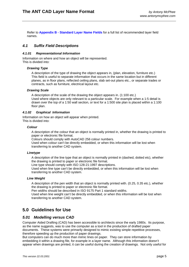<span id="page-7-0"></span>Refer to **[Appendix B - Standard Layer Name Fields](#page-13-0)** for a full list of recommended layer field names.

#### *4.1 Suffix Field Descriptions*

#### *4.1.01 Representational Information*

Information on where and how an object will be represented. This is divided into:

#### *Drawing Type*

A description of the type of drawing the object appears in, (plan, elevation, furniture etc.) This field is useful to separate information that occurs in the same location but in different planes, as in floor plans, reflected ceiling plans, slab set-out plans etc., or separate trades or contracts, such as furniture, electrical layout etc.

#### *Drawing Scale*

A description of the scale of the drawing the object appears in. (1:100 etc.) Used where objects are only relevant to a particular scale. For example when a 1:5 detail is drawn over the top of a 1:50 wall section, or text for a 1:500 site plan is placed within a 1:100 floor plan.

#### *4.1.02 Graphical Information*

Information on how an object will appear when printed. This is divided into:

#### *Colour*

A description of the colour that an object is normally printed in, whether the drawing is printed to paper or electronic file format.

Colours should comply with AutoCAD 256 colour numbers.

Used when colour can't be directly embedded, or when this information will be lost when transferring to another CAD system.

#### *Linetype*

A description of the line type that an object is normally printed in (dashed, dotted etc), whether the drawing is printed to paper or electronic file format.

Line type should comply with ISO 128-21:1997 descriptions.

Used when line type can't be directly embedded, or when this information will be lost when transferring to another CAD system.

#### *Line Weight*

A description of the pen width that an object is normally printed with. (0.25, 0.35 etc.), whether the drawing is printed to paper or electronic file format.

Pen widths should be described in ISO 9175 Part 1 standard widths.

Used when line weight can't be directly embedded, or when this information will be lost when transferring to another CAD system.

# **5.0 Guidelines for Use**

#### *5.01 Modelling versus CAD*

Computer Aided Drafting (CAD) has been accessible to architects since the early 1980s. Its purpose, as the name suggests, was to use the computer as a tool in the production of drafted paper documents. These systems were primarily designed to mimic existing simple repetitive processes, therefore speeding up the production of paper drawings.

But computers can do much more than mimic lines on paper. They can store information by embedding it within a drawing file, for example in a layer name. Although this information doesn't appear when drawings are printed, it can be useful during the creation of drawings. Not only useful for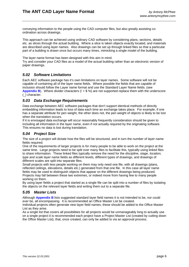<span id="page-8-0"></span>conveying information to the people using the CAD computer files, but also greatly assisting coordination across drawings.

This approach can be achieved using ordinary CAD software by considering plans, sections, details etc. as slices through the actual building. Where a slice is taken objects exactly located, and materials are described using layer names. Also drawings can be set up through linked files so that a particular part of a building is drawn once but occurs many times, mimicking a single model of the building.

The layer name format has been designed with this aim in mind.

Try and consider your CAD files as a model of the actual building rather than an electronic version of paper drawings.

#### *5.02 Software Limitations*

Each AEC software package has it's own limitations on layer names. Some software will not be capable of containing all of the layer name fields. Where possible the fields that are capable of inclusion should follow the Layer name format and use the Standard Layer Name fields. (see [Appendix B](#page-13-0)). Where divider characters (! + \$ %) are not supported replace them with the underscore (\_) character.

#### *5.03 Data Exchange Requirements*

Data exchange between AEC software packages that don't support identical methods of directly embedding information leads to loss of data each time an exchange takes place. For example, if one has a separate attribute for pen weight, the other does not, the pen weight of objects is likely to be lost when the translation occurs.

If it is envisaged data exchange will occur reasonably frequently consideration should be given to including all information in the layer name, even if not actually required by the originating software. This ensures no data is lost during translation.

#### *5.04 Project Size*

The size of a project will dictate how the files will be structured, and in turn the number of layer name fields required.

One of the requirements of larger projects is for many people to be able to work on the project at the same time. Large projects need to be split over many files to facilitate this, typically using linked files to share information. These linked files typically remove the need for the *discipline, stage, location, type* and *scale* layer name fields as different levels, different types of drawings, and drawings of different scales are split into separate files.

Small projects with less people working on them may only need one file, with all drawings (plans, reflected ceilings, elevations, details etc.) generated from that one file. In this case all layer name fields may be used to distinguish objects that appear on the different drawings being produced. Projects may fall between these two extremes, or indeed move from having few to many people working on them.

By using layer fields a project that started as a single file can be split into a number of files by isolating the objects on the relevant layer fields and writing them out to a separate file.

#### *5.05 Master Lists*

Although **[Appendix B](#page-13-0)** lists suggested standard layer field names it is not intended to be, nor could ever be, all encompassing. It is recommended an Office Master List be created.

Individual projects often generate new layer field names, these should be added to the Office Master List as they arise.

As a single list that covers all possibilities for all projects would be unmanageably long to actually use on a single project it is recommended each project have a Project Master List (created by cutting down the Office Master List), that, once created, can only be added to via an approval process.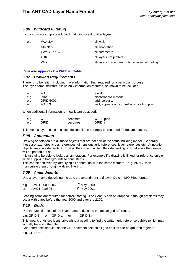#### <span id="page-9-0"></span>*5.06 Wildcard Filtering*

If your software supports wildcard matching use it to filter layers.

| e.g. | *WALL*                 | all walls                                        |
|------|------------------------|--------------------------------------------------|
|      | *ANNO*                 | all annotation                                   |
|      | $*$ -cmt $*$ or $*$ +1 | all comments                                     |
|      | $*+0*$                 | all layers not plotted                           |
|      | *\$c*                  | all layers that appear only on reflected ceiling |
|      |                        |                                                  |

Refer also **[Appendix C – Wildcard Table](#page-20-0)**.

#### *5.07 Drawing Requirements*

There is no benefit in including more information than required for a particular purpose. The layer name structure allows only information required, or known to be included:

| e.g. | WALL          | a wall                                       |
|------|---------------|----------------------------------------------|
| e.a. | -plbd         | plasterboard material                        |
| e.a. | GRID%001      | grid, colour 1                               |
| e.a. | <b>WALLSc</b> | wall, appears only on reflected ceiling plan |

When additional information is know it can be added:

| e.g. | WALL | becomes | WALL-plbd |
|------|------|---------|-----------|
| e.g. | GRID | becomes | GRID-a    |

This means layers used in sketch design files can simply be renamed for documentation.

#### *5.08 Annotation*

Drawing annotation are all those objects that are not part of the actual building model. Generally these are text notes, cross references, dimensions, grid references, level references etc. Annotation objects are scale dependant. That is, their size in a file differs depending on what scale the drawing will be printed out at.

It is useful to be able to isolate all annotation. For example if a drawing is linked for reference only or when supplying backgrounds to consultants.

This can be achieved by identifying all annotation with the same element – e.g. ANNO, then manipulate them through wildcard filtering.

#### *5.09 Amendments*

Use a layer name describing the date the amendment is drawn. Date in ISO 8601 format

| e.g. | AMDT-20000506 | $6th$ May 2000 |
|------|---------------|----------------|
| or.  | AMDT-010506   | $6th$ May 2001 |

Leading zeros are required for correct sorting. The Century can be dropped, although problems may occur with dates before the year 2000 and after the 2100.

#### *5.10 Grids*

Use the Modifier field of the layer name to describe the actual grid reference.

e.g. GRID-1 or GRID-a or GRID-1a

This means grids are identifiable without needing to find the written grid reference bubble (which may actually be in another file).

Grid references should use the GRID element field so all grid entities can be grouped together.

e.g. GRID-ref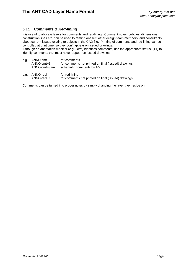#### <span id="page-10-0"></span>*5.11 Comments & Red-lining*

It is useful to allocate layers for comments and red-lining. Comment notes, bubbles, dimensions, construction lines etc. can be used to remind oneself, other design team members, and consultants about current issues relating to objects in the CAD file. Printing of comments and red-lining can be controlled at print time, so they don't appear on issued drawings.

Although an annotation modifier (e.g. –cmt) identifies comments, use the appropriate status, (+1) to identify comments that must never appear on issued drawings.

| e.g. | ANNO-cmt<br>ANNO-cmt+1<br>ANNO-cmt+3am | for comments<br>for comments not printed on final (issued) drawings.<br>schematic comments by AM |
|------|----------------------------------------|--------------------------------------------------------------------------------------------------|
| e.g. | ANNO-redl<br>ANNO-redl+1               | for red-lining<br>for comments not printed on final (issued) drawings.                           |

Comments can be turned into proper notes by simply changing the layer they reside on.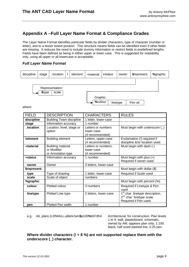# <span id="page-11-0"></span>**Appendix A –Full Layer Name Format & Compliance Grades**

The Layer Name Format identifies particular fields by divider characters, type of character (number or letter), and to a lesser extent position. This structure means fields can be identified even if other fields are missing. It reduces the need to include dummy information or restrict fields to predefined lengths. Fields have been defined as being in either upper or lower case. This is suggested for readability only, using all upper or all lowercase is acceptable.

#### *Full Layer Name Format*

| discipline | stage  | _location                | element | -material           | +status | owner    | \$represent. | %graphic |
|------------|--------|--------------------------|---------|---------------------|---------|----------|--------------|----------|
|            | \$type | Representation:<br>scale |         | Graphic:<br>%colour |         | linetype | Pen wt.      |          |

where:

| <b>FIELD</b>    | <b>DESCRIPTION</b>                      | <b>CHARACTERS</b>                      | <b>RULES</b>                                                                                                  |
|-----------------|-----------------------------------------|----------------------------------------|---------------------------------------------------------------------------------------------------------------|
| discipline      | <b>Building Team discipline</b>         | 1 letter, lower-case                   |                                                                                                               |
| stage           | Information accuracy                    | 1 number                               |                                                                                                               |
| <b>location</b> | Location, level, stage or<br>option     | Letters or numbers<br>lower-case       | Must begin with underscore ()                                                                                 |
|                 |                                         | (4 recommended)                        |                                                                                                               |
| !element        | <b>Building element</b>                 | Letters, upper-case<br>(4 recommended) | Exclamation (!) required if<br>discipline &/or location used.                                                 |
| -material       | <b>Building material</b><br>or Modifier | Letters or numbers,                    | Must begin with dash (-)                                                                                      |
|                 | or Annotation type                      | lower-case<br>(4 recommended)          |                                                                                                               |
| +status         | Information accuracy                    | 1 number                               | Must begin with plus $(+)$<br>Required if owner used.                                                         |
| owner           | Owner                                   | 2 letters, lower-case                  |                                                                                                               |
| \$represent.    |                                         |                                        | Must begin with dollar (\$)                                                                                   |
| type            | Type of drawing                         | 1 letter, lower-case                   | Required if Scale used                                                                                        |
| scale           | Scale of object                         | numbers                                |                                                                                                               |
| %graphic        |                                         |                                        | Must begin with percent (%)                                                                                   |
| colour          | Plotted colour                          | 3 numbers                              | Required if Linetype & Pen<br>used                                                                            |
| linetype        | Plotted Line type                       | 2 letters, lower-case                  | 1 <sup>st</sup> char. linetype description,<br>2 <sup>nd</sup> char. linetype scale.<br>Required if Pen used. |
| pen             | Plotted Pen width                       | 1 number                               |                                                                                                               |

e.g. A6**\_**planL1L9**!**WALL**-**plbd**+**2am**\$**p100**%**007dh4 Architectural, for construction, Plan levels

1 to 9, wall, plasterboard, schematic, owned by AM, appears plan only, 1:100, black, half sized dashed line, 0.25 pen.

**Where divider characters (! + \$ %) are not supported replace them with the underscore (\_) character.**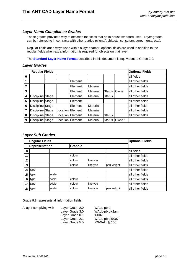#### *Layer Name Compliance Grades*

These grades provide a way to describe the fields that an in-house standard uses. Layer grades can be referred to in contracts with other parties (client/Architects, consultant agreements, etc.).

Regular fields are always used within a layer namer, optional fields are used in addition to the regular fields when extra information is required for objects on that layer.

The **[Standard Layer Name Format](#page-4-0)** described in this document is equivalent to Grade 2.0.

#### *Layer Grades*

|                | <b>Regular Fields</b> |  |  |                  |          |               |       | <b>Optional Fields</b> |
|----------------|-----------------------|--|--|------------------|----------|---------------|-------|------------------------|
| $\mathbf 0$    |                       |  |  |                  |          |               |       | all fields             |
| $\overline{1}$ |                       |  |  | Element          |          |               |       | all other fields       |
| $\overline{2}$ |                       |  |  | Element          | Material |               |       | all other fields       |
| $\mathbf{3}$   |                       |  |  | Element          | Material | <b>Status</b> | Owner | all other fields       |
| 4              | Discipline Stage      |  |  | Element          | Material | <b>Status</b> |       | all other fields       |
| 5              | Discipline Stage      |  |  | Element          |          |               |       | all other fields       |
| 6              | Discipline Stage      |  |  | Element          | Material |               |       | all other fields       |
| 7              | Discipline Stage      |  |  | Location Element | Material |               |       | all other fields       |
| 8              | Discipline Stage      |  |  | Location Element | Material | <b>Status</b> |       | all other fields       |
| 9              | Discipline Stage      |  |  | Location Element | Material | <b>Status</b> | Owner |                        |

#### *Layer Sub Grades*

|            | <b>Regular Fields</b> |       |                |          |            | <b>Optional Fields</b> |
|------------|-----------------------|-------|----------------|----------|------------|------------------------|
|            | Representation        |       | <b>Graphic</b> |          |            |                        |
| $\cdot$ 0  |                       |       |                |          |            | all fields             |
| $\cdot$ 1  |                       |       | colour         |          |            | all other fields       |
| $\cdot$ .2 |                       |       | colour         | linetype |            | all other fields       |
| $\cdot$ 3  |                       |       | colour         | linetype | pen weight | all other fields       |
| .4         | type                  |       |                |          |            | all other fields       |
| .5         | type                  | scale |                |          |            | all other fields       |
| .6         | type                  | scale | colour         |          |            | all other fields       |
| $\cdot$    | type                  | scale | colour         | linetype |            | all other fields       |
| .8         | type                  | scale | colour         | linetype | pen weight | all other fields       |

Grade 9.8 represents all information fields.

| A layer complying with | Layer Grade 2.0 | WALL-pbrd     |
|------------------------|-----------------|---------------|
|                        | Layer Grade 3.0 | WALL-pbrd+2am |
|                        | Layer Grade 0.1 | %007          |
|                        | Layer Grade 2.1 | WALL-pbrd%007 |
|                        | Layer Grade 5.5 | a2!WALL\$p100 |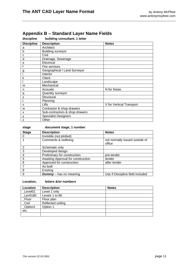| discipline        | building consultant, 1 letter  |                          |
|-------------------|--------------------------------|--------------------------|
| <b>Discipline</b> | <b>Description</b>             | <b>Notes</b>             |
| a                 | Architect                      |                          |
| b                 | <b>Building surveyor</b>       |                          |
| C                 | Civil                          |                          |
| d                 | Drainage, Sewerage             |                          |
| e                 | Electrical                     |                          |
|                   | Fire services                  |                          |
| $\overline{g}$    | Geographical / Land Surveyor   |                          |
|                   | Interior                       |                          |
| k                 | Client                         |                          |
|                   | Landscape                      |                          |
| m                 | Mechanical                     |                          |
| n                 | Acoustic                       | N for Noise              |
| q                 | Quantity surveyor              |                          |
| S                 | Structural                     |                          |
| t                 | Planning                       |                          |
| $\mathsf{V}$      | Lifts                          | V for Vertical Transport |
| W                 | Contractor & shop drawers      |                          |
| x                 | Sub-contractors & shop drawers |                          |
| y                 | <b>Specialist Designers</b>    |                          |
| z                 | Other                          |                          |

# <span id="page-13-0"></span>**Appendix B – Standard Layer Name Fields**

| <b>Stage</b> | <b>Description</b>      | <b>Notes</b> |
|--------------|-------------------------|--------------|
|              | Invisible (not plotted) |              |
|              | Comments & redlining    | not nor      |

**stage document stage, 1 number** 

| <b>Stage</b> | <b>Description</b>                 | <b>Notes</b>                             |
|--------------|------------------------------------|------------------------------------------|
|              | Invisible (not plotted)            |                                          |
|              | Comments & redlining               | not normally issued outside of<br>office |
| 2            | Schematic only                     |                                          |
| 3            | Developed design                   |                                          |
|              | Preliminary for construction       | pre-tender                               |
| 5            | Awaiting Approval for construction | tender                                   |
| 6            | Approved for construction          | after tender                             |
|              | As built                           |                                          |
| 8            | Existing                           |                                          |
| 9            | <b>Dummy</b> – has no meaning      | Use if Discipline field included         |

#### **Location, letters &/or numbers**

| Location | <b>Description</b> | <b>Notes</b> |
|----------|--------------------|--------------|
| Level01  | Level 1 only       |              |
| Lev0180  | Levels 1 to 80     |              |
| _Floor   | Floor plan         |              |
| _Ceil    | Reflected ceiling  |              |
| _Option1 | Option 1           |              |
| etc.     |                    |              |
|          |                    |              |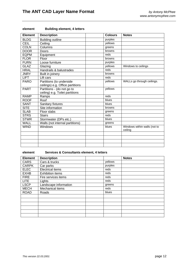| <b>Element</b> | <b>Description</b>               | <b>Colours</b> | <b>Notes</b>                            |
|----------------|----------------------------------|----------------|-----------------------------------------|
| <b>BLDG</b>    | <b>Building outline</b>          | purples        |                                         |
| <b>CEIL</b>    | Ceiling                          | yellows        |                                         |
| <b>COLN</b>    | Columns                          | greens         |                                         |
| <b>DOOR</b>    | Doors                            | browns         |                                         |
| <b>EQPM</b>    | Equipment                        | reds           |                                         |
| <b>FLOR</b>    | Floor                            | browns         |                                         |
| <b>FURN</b>    | Loose furniture                  | purples        |                                         |
| <b>GLAZ</b>    | Glazing                          | yellows        | Windows to ceilings                     |
| <b>HRAL</b>    | Handrails & balustrades          | reds           |                                         |
| <b>JNRY</b>    | Built in joinery                 | browns         |                                         |
| <b>LIFT</b>    | Lift cars                        | reds           |                                         |
| <b>PARO</b>    | Partitions (to underside         | yellows        | WALLs go through ceilings.              |
|                | ceilings) e.g. Office partitions |                |                                         |
| <b>PART</b>    | Partitions - (do not go to       | yellows        |                                         |
|                | ceiling) e.g. Toilet partitions  |                |                                         |
| <b>RAMP</b>    | Ramps                            | reds           |                                         |
| <b>ROOF</b>    | Roof                             | blues          |                                         |
| <b>SANT</b>    | Sanitary fixtures                | blues          |                                         |
| <b>SITE</b>    | Site information                 | browns         |                                         |
| <b>SLAB</b>    | Floor slabs                      | greens         |                                         |
| <b>STRS</b>    | <b>Stairs</b>                    | reds           |                                         |
| <b>STWR</b>    | Stormwater (DPs etc.)            | blues          |                                         |
| <b>WALL</b>    | Walls (not internal partitions)  | greens         |                                         |
| <b>WIND</b>    | Windows                          | blues          | Windows within walls (not to<br>ceiling |
|                |                                  |                |                                         |
|                |                                  |                |                                         |
|                |                                  |                |                                         |
|                |                                  |                |                                         |

#### **element Building element, 4 letters**

#### **element Services & Consultants element, 4 letters**

| <b>Element</b> | <b>Description</b>      |         | <b>Notes</b> |
|----------------|-------------------------|---------|--------------|
| <b>CARS</b>    | Cars & trucks           | yellows |              |
| <b>CARPK</b>   | Car parks               | purples |              |
| <b>ELEC</b>    | <b>Electrical items</b> | reds    |              |
| <b>EXHB</b>    | <b>Exhibition items</b> | reds    |              |
| <b>FIRE</b>    | Fire services items     | reds    |              |
| <b>LITE</b>    | Lights                  | reds    |              |
| <b>LSCP</b>    | Landscape information   | greens  |              |
| <b>MECH</b>    | Mechanical items        | reds    |              |
| <b>ROAD</b>    | Roads                   | blues   |              |
|                |                         |         |              |
|                |                         |         |              |
|                |                         |         |              |
|                |                         |         |              |
|                |                         |         |              |
|                |                         |         |              |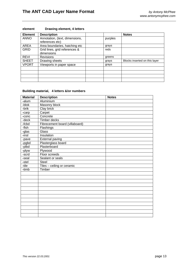| <b>Element</b> | <b>Description</b>             |         | <b>Notes</b>                  |
|----------------|--------------------------------|---------|-------------------------------|
| <b>ANNO</b>    | Annotation, (text, dimensions, | purples |                               |
|                | references etc)                |         |                               |
| <b>AREA</b>    | Area boundaries, hatching etc  | grays   |                               |
| <b>GRID</b>    | Grid lines, grid references &  | reds    |                               |
|                | dimensions                     |         |                               |
| <b>REVI</b>    | <b>Revisions</b>               | greens  |                               |
| <b>SHEET</b>   | Drawing sheets                 | grays   | Blocks inserted on this layer |
| <b>VPORT</b>   | Viewports in paper space       | grays   |                               |
|                |                                |         |                               |
|                |                                |         |                               |
|                |                                |         |                               |
|                |                                |         |                               |

#### **element Drawing element, 4 letters**

#### **Building material, 4 letters &/or numbers**

| <b>Material</b> | <b>Description</b>             | <b>Notes</b> |
|-----------------|--------------------------------|--------------|
| -alum           | Aluminium                      |              |
| -blok           | Masonry block                  |              |
| -brik           | Clay brick                     |              |
| -carp           | Carpet                         |              |
| $-conc$         | Concrete                       |              |
| -deck           | Timber decks                   |              |
| $-fcbd$         | Fibrecement board (villaboard) |              |
| -fish           | Flashings                      |              |
| -glas           | Glass                          |              |
| -insl           | Insulation                     |              |
| -pave           | <b>External paving</b>         |              |
| -pgbd           | Plasterglass board             |              |
| -plbd           | Plasterboard                   |              |
| -plyw           | Plywood                        |              |
| -scrd           | Floor screeds                  |              |
| -seal           | Sealant or seals               |              |
| -stel           | <b>Steel</b>                   |              |
| -tile           | Tiles - ceiling or ceramic     |              |
| -timb           | Timber                         |              |
|                 |                                |              |
|                 |                                |              |
|                 |                                |              |
|                 |                                |              |
|                 |                                |              |
|                 |                                |              |
|                 |                                |              |
|                 |                                |              |
|                 |                                |              |
|                 |                                |              |
|                 |                                |              |
|                 |                                |              |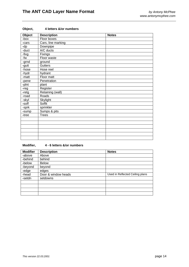| Object | <b>Description</b> | <b>Notes</b> |
|--------|--------------------|--------------|
| -box   | Floor boxes        |              |
| -cars  | Cars, line marking |              |
| $-dp$  | Downpipe           |              |
| -duct  | A/C ducts          |              |
| -fixg  | <b>Fixings</b>     |              |
| -fw    | Floor waste        |              |
| -grnd  | ground             |              |
| -gutt  | Gutters            |              |
| -hose  | Hose reel          |              |
| -hydr  | hydrant            |              |
| -matt  | Floor matt         |              |
| -pene  | Penetration        |              |
| -plnt  | plant              |              |
| -reg   | Register           |              |
| -retg  | Retaining (wall)   |              |
| -road  | Roads              |              |
| -skyl  | Skylight           |              |
| -soff  | Soffit             |              |
| -sprk  | sprinkler          |              |
| -sump  | Sumps & pits       |              |
| -tree  | <b>Trees</b>       |              |
|        |                    |              |
|        |                    |              |
|        |                    |              |
|        |                    |              |
|        |                    |              |
|        |                    |              |

#### **Object, 4 letters &/or numbers**

## **Modifier, 4 - 6 letters &/or numbers**

| <b>Modifier</b> | <b>Description</b>  | <b>Notes</b>                    |
|-----------------|---------------------|---------------------------------|
| -above          | Above               |                                 |
| -behind         | behind              |                                 |
| -below          | <b>Below</b>        |                                 |
| -beyond         | beyond              |                                 |
| -edge           | edges               |                                 |
| -head           | Door & window heads | Used in Reflected Ceiling plans |
| -setdn          | setdowns            |                                 |
|                 |                     |                                 |
|                 |                     |                                 |
|                 |                     |                                 |
|                 |                     |                                 |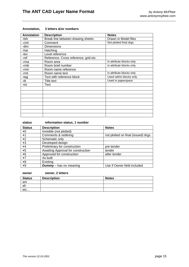| <b>Annotation</b> | <b>Description</b>                    | <b>Notes</b>             |
|-------------------|---------------------------------------|--------------------------|
| -brk              | Break line between drawing sheets     | Drawn in Model files     |
| -cmt              | Comment                               | Not plotted final drgs   |
| -dim              | <b>Dimensions</b>                     |                          |
| -hat              | Hatching                              |                          |
| -lev              | Level reference                       |                          |
| -ref              | Reference, Cross reference, grid etc. |                          |
| -rma              | Room area                             | in attribute blocks only |
| -rmb              | Room brief number                     | in attribute blocks only |
| $-rmn$            | Room name reference                   |                          |
| -rmt              | Room name text                        | in attribute blocks only |
| -tag              | Text with reference block             | Used within blocks only  |
| -tit              | Title text                            | Used in paperspace       |
| -txt              | Text                                  |                          |
|                   |                                       |                          |
|                   |                                       |                          |
|                   |                                       |                          |
|                   |                                       |                          |
|                   |                                       |                          |
|                   |                                       |                          |
|                   |                                       |                          |
|                   |                                       |                          |

#### **Annotation, 3 letters &/or numbers**

### **status information status, 1 number**

| <b>Status</b> | <b>Description</b>                 | <b>Notes</b>                        |
|---------------|------------------------------------|-------------------------------------|
| $+0$          | Invisible (not plotted)            |                                     |
| $+1$          | Comments & redlining               | not plotted on final (issued) drgs. |
| $+2$          | Schematic only                     |                                     |
| $+3$          | Developed design                   |                                     |
| $+4$          | Preliminary for construction       | pre-tender                          |
| $+5$          | Awaiting Approval for construction | tender                              |
| $+6$          | Approved for construction          | after tender                        |
| $+7$          | As built                           |                                     |
| $+8$          | Existing                           |                                     |
| $+9$          | <b>Dummy</b> – has no meaning      | Use if Owner field included         |

#### **owner owner, 2 letters**

| <b>Status</b> | <b>Description</b> | <b>Notes</b> |
|---------------|--------------------|--------------|
| am            |                    |              |
| ah            |                    |              |
| etc           |                    |              |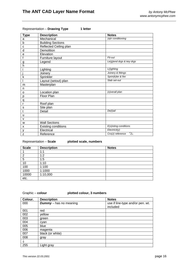#### Representation - Drawing Type 1 letter

| <b>Type</b>    | <b>Description</b>         | <b>Notes</b>                    |
|----------------|----------------------------|---------------------------------|
| a              | Mechanical                 | (a)ir conditioning              |
| $\mathsf b$    | <b>Building Sections</b>   |                                 |
| C              | Reflected Ceiling plan     |                                 |
| d              | Demolition                 |                                 |
| e              | Elevation                  |                                 |
| $\mathsf f$    | Furniture layout           | Fit-out                         |
| $\overline{g}$ | Legend                     | Le(g)end drgs & key drgs        |
| h              |                            |                                 |
| j              | Lighting                   | L(i)ghting                      |
|                | Joinery                    | Joinery & fittings              |
| k              | Sprinkler                  | Sprin(k)ler & fire              |
| $\mathsf{I}$   | Layout (setout) plan       | Slab set-out                    |
| m              | Masterplan                 |                                 |
| n              |                            |                                 |
| o              | Location plan              | (o)verall plan                  |
| p              | <b>Floor Plan</b>          |                                 |
| q              |                            |                                 |
| $\mathsf{r}$   | Roof plan                  |                                 |
| s              | Site plan                  |                                 |
| t              | Detail                     | $De(t)$ ail                     |
| u              |                            |                                 |
| v              |                            |                                 |
| W              | <b>Wall Sections</b>       |                                 |
| х              | <b>Existing conditions</b> | $E(x)$ isting conditions        |
| y              | Electrical                 | Electricit(y)                   |
| z              | Reference                  | $A_{Z_A}$<br>$Cro(z)$ reference |

Representation – **Scale plotted scale, numbers** 

| <b>Scale</b> | <b>Description</b> | <b>Notes</b> |
|--------------|--------------------|--------------|
|              | 1:1                |              |
| - 2          | 1:2                |              |
| 5            | 1:5                |              |
| 10           | 1:10               |              |
| 100          | 1:100              |              |
| 1000         | 1:1000             |              |
| 10000        | 1:10,000           |              |
| etc.         |                    |              |

Graphic – **colour plotted colour, 3 numbers** 

| Colour. | <b>Description</b>            | <b>Notes</b>                                 |
|---------|-------------------------------|----------------------------------------------|
| 000     | <b>Dummy</b> - has no meaning | use if line-type and/or pen. wt.<br>included |
| 001     | red                           |                                              |
| 002     | yellow                        |                                              |
| 003     | green                         |                                              |
| 004     | cyan                          |                                              |
| 005     | blue                          |                                              |
| 006     | magenta                       |                                              |
| 007     | black (or white)              |                                              |
| 008     | gray                          |                                              |
| ↓       |                               |                                              |
| 255     | Light gray                    |                                              |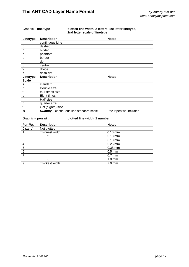#### Graphic – **line type plotted line width, 2 letters, 1st letter linetype, 2nd letter scale of linetype**

| Linetype     | <b>Description</b>                            | <b>Notes</b>            |
|--------------|-----------------------------------------------|-------------------------|
|              | continuous Line                               |                         |
| d            | dashed                                        |                         |
| h            | hidden                                        |                         |
| p            | phantom                                       |                         |
| $\mathsf b$  | border                                        |                         |
| t            | dot                                           |                         |
| C            | centre                                        |                         |
| v            | divide                                        |                         |
| a            | dash-dot                                      |                         |
| Linetype     | <b>Description</b>                            | <b>Notes</b>            |
| <b>Scale</b> |                                               |                         |
| s            | standard                                      |                         |
| d            | Double size                                   |                         |
| f            | four times size                               |                         |
| е            | Eight times                                   |                         |
| h            | Half size                                     |                         |
| q            | quarter size                                  |                         |
| t            | Oct (eighth) size                             |                         |
| ls           | <b>Dummy</b> - continuous line standard scale | Use if pen wt. included |

#### Graphic – **pen wt plotted line width, 1 number**

| Pen Wt.         | <b>Description</b> | <b>Notes</b>     |
|-----------------|--------------------|------------------|
| $0$ (zero)      | Not plotted        |                  |
|                 | Thinnest width     | $0.10$ mm        |
| 2               |                    | $0.13$ mm        |
| 3               |                    | $0.18$ mm        |
| 4               |                    | $0.25$ mm        |
| 5               |                    | 0.35 mm          |
| $6\phantom{1}6$ |                    | $0.5$ mm         |
| 7               |                    | $0.7$ mm         |
| 8               |                    | $1.0 \text{ mm}$ |
| 9               | Thickest width     | $2.0$ mm         |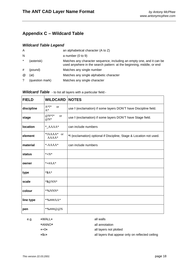# <span id="page-20-0"></span>**Appendix C – Wildcard Table**

# *Wildcard Table Legend*

| A        |                 | an alphabetical character $(A \text{ to } Z)$                                                                                                  |
|----------|-----------------|------------------------------------------------------------------------------------------------------------------------------------------------|
| N        |                 | a number $(0 to 9)$                                                                                                                            |
| $\ast$   | (asterisk)      | Matches any character sequence, including an empty one, and it can be<br>used anywhere in the search pattern: at the beginning, middle, or end |
| #        | (pound)         | Matches any single number                                                                                                                      |
| $\omega$ | (at)            | Matches any single alphabetic character                                                                                                        |
|          | (question mark) | Matches any single character                                                                                                                   |

| <b>FIELD</b> | <b>WILDCARD</b>                    | <b>NOTES</b>                                                        |
|--------------|------------------------------------|---------------------------------------------------------------------|
| discipline   | $A^*$ !*<br><sub>or</sub><br>$A^*$ | use ! (exclamation) if some layers DON'T have Discipline field.     |
| stage        | $@N^*!$<br><sub>or</sub><br>$@N*$  | use ! (exclamation) if some layers DON'T have Stage field.          |
| location     | $^*$ _AAAA $^*$                    | can include numbers                                                 |
| element      | *!AAAA*<br><sub>or</sub><br>AAAA*  | *! (exclamation) optional if Discipline, Stage & Location not used. |
| material     | $*AAAA*$                           | can include numbers                                                 |
| status       | $*+N*$                             |                                                                     |
| owner        | * $#AA*$                           |                                                                     |
| type         | $*SA*$                             |                                                                     |
| scale        | $*$ \$@NN*                         |                                                                     |
| colour       | $*96$ NNN $*$                      |                                                                     |
| line type    | *%###AA*                           |                                                                     |
| pen          | *%###@@N                           |                                                                     |

#### *Wildcard Table* - to list all layers with a particular field:-

| e.g. | *WALL*   | all walls                                        |
|------|----------|--------------------------------------------------|
|      | *ANNO*   | all annotation                                   |
|      | ∗+∩∗     | all layers not plotted                           |
|      | $*$ \$c* | all layers that appear only on reflected ceiling |